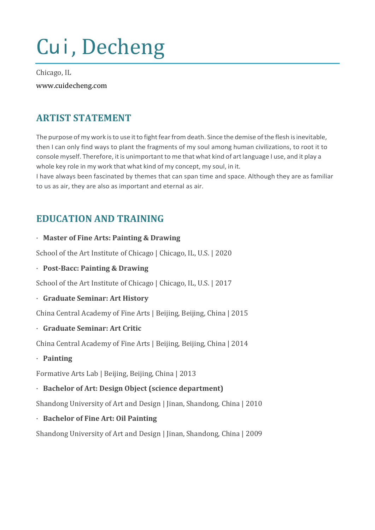# Cui, Decheng

Chicago, IL www.cuidecheng.com

# **ARTIST STATEMENT**

The purpose of my work is to use it to fight fear from death. Since the demise of the flesh is inevitable, then I can only find ways to plant the fragments of my soul among human civilizations, to root it to console myself. Therefore, it is unimportant to me that what kind of art language I use, and it play a whole key role in my work that what kind of my concept, my soul, in it.

I have always been fascinated by themes that can span time and space. Although they are as familiar to us as air, they are also as important and eternal as air.

# **EDUCATION AND TRAINING**

#### · **Master of Fine Arts: Painting & Drawing**

School of the Art Institute of Chicago | Chicago, IL, U.S. | 2020

· **Post-Bacc: Painting & Drawing**

School of the Art Institute of Chicago | Chicago, IL, U.S. | 2017

#### · **Graduate Seminar: Art History**

China Central Academy of Fine Arts | Beijing, Beijing, China | 2015

· **Graduate Seminar: Art Critic**

China Central Academy of Fine Arts | Beijing, Beijing, China | 2014

· **Painting**

Formative Arts Lab | Beijing, Beijing, China | 2013

#### · **Bachelor of Art: Design Object (science department)**

Shandong University of Art and Design | Jinan, Shandong, China | 2010

· **Bachelor of Fine Art: Oil Painting**

Shandong University of Art and Design | Jinan, Shandong, China | 2009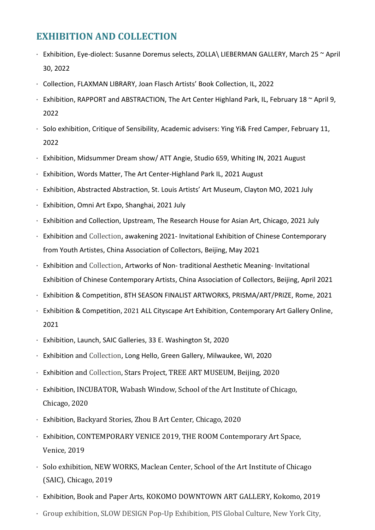## **EXHIBITION AND COLLECTION**

- · Exhibition, Eye-diolect: Susanne Doremus selects, ZOLLA\ LIEBERMAN GALLERY, March 25 ~ April 30, 2022
- · Collection, FLAXMAN LIBRARY, Joan Flasch Artists' Book Collection, IL, 2022
- $\cdot$  Exhibition, RAPPORT and ABSTRACTION, The Art Center Highland Park, IL, February 18  $\sim$  April 9, 2022
- · Solo exhibition, Critique of Sensibility, Academic advisers: Ying Yi& Fred Camper, February 11, 2022
- · Exhibition, Midsummer Dream show/ ATT Angie, Studio 659, Whiting IN, 2021 August
- · Exhibition, Words Matter, The Art Center-Highland Park IL, 2021 August
- · Exhibition, Abstracted Abstraction, St. Louis Artists' Art Museum, Clayton MO, 2021 July
- · Exhibition, Omni Art Expo, Shanghai, 2021 July
- · Exhibition and Collection, Upstream, The Research House for Asian Art, Chicago, 2021 July
- · Exhibition and Collection, awakening 2021- Invitational Exhibition of Chinese Contemporary from Youth Artistes, China Association of Collectors, Beijing, May 2021
- · Exhibition and Collection, Artworks of Non- traditional Aesthetic Meaning- Invitational Exhibition of Chinese Contemporary Artists, China Association of Collectors, Beijing, April 2021
- · Exhibition & Competition, 8TH SEASON FINALIST ARTWORKS, PRISMA/ART/PRIZE, Rome, 2021
- · Exhibition & Competition, 2021 ALL Cityscape Art Exhibition, Contemporary Art Gallery Online, 2021
- · Exhibition, Launch, SAIC Galleries, 33 E. Washington St, 2020
- · Exhibition and Collection, Long Hello, Green Gallery, Milwaukee, WI, 2020
- · Exhibition and Collection, Stars Project, TREE ART MUSEUM, Beijing, 2020
- · Exhibition, INCUBATOR, Wabash Window, School of the Art Institute of Chicago, Chicago, 2020
- · Exhibition, Backyard Stories, Zhou B Art Center, Chicago, 2020
- · Exhibition, CONTEMPORARY VENICE 2019, THE ROOM Contemporary Art Space, Venice, 2019
- · Solo exhibition, NEW WORKS, Maclean Center, School of the Art Institute of Chicago (SAIC), Chicago, 2019
- · Exhibition, Book and Paper Arts, KOKOMO DOWNTOWN ART GALLERY, Kokomo, 2019
- · Group exhibition, SLOW DESIGN Pop-Up Exhibition, PIS Global Culture, New York City,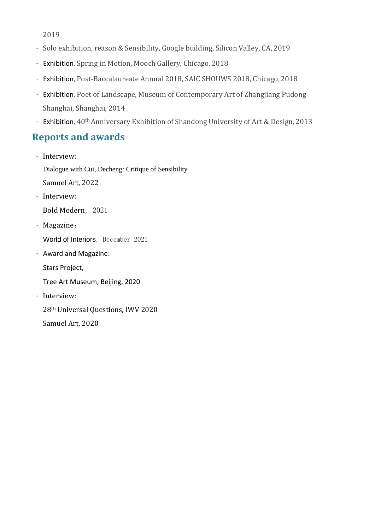2019

- · Solo exhibition, reason & Sensibility, Google building, Silicon Valley, CA, 2019
- · Exhibition, Spring in Motion, Mooch Gallery, Chicago, 2018
- · Exhibition, Post-Baccalaureate Annual 2018, SAIC SHOUWS 2018, Chicago, 2018
- · Exhibition, Poet of Landscape, Museum of Contemporary Art of Zhangjiang Pudong Shanghai, Shanghai, 2014
- · Exhibition, 40th Anniversary Exhibition of Shandong University of Art & Design, 2013

## **Reports and awards**

· Interview: Dialogue with Cui, Decheng: Critique of Sensibility

Samuel Art, 2022

· Interview:

Bold Modern, 2021

- · Magazine: World of Interiors, December 2021
- · Award and Magazine:

Stars Project,

Tree Art Museum, Beijing, 2020

· Interview:

28th Universal Questions, IWV 2020

Samuel Art, 2020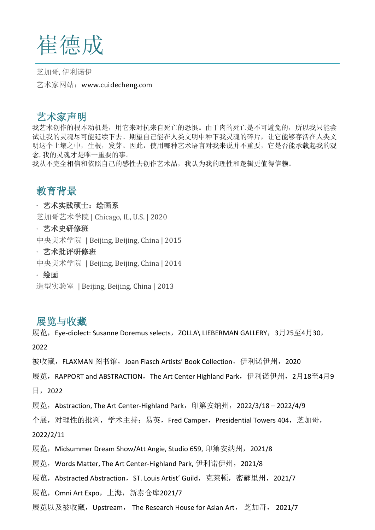

芝加哥, 伊利诺伊 艺术家网站:www.cuidecheng.com

## 艺术家声明

我艺术创作的根本动机是,用它来对抗来自死亡的恐惧。由于肉的死亡是不可避免的,所以我只能尝 试让我的灵魂尽可能延续下去。期望自己能在人类文明中种下我灵魂的碎片,让它能够存活在人类文 明这个土壤之中,生根,发芽。因此,使用哪种艺术语言对我来说并不重要,它是否能承载起我的观 念,我的灵魂才是唯一重要的事。

我从不完全相信和依照自己的感性去创作艺术品,我认为我的理性和逻辑更值得信赖。

# 教育背景

#### · 艺术实践硕士:绘画系

芝加哥艺术学院 | Chicago, IL, U.S. | 2020

#### · 艺术史研修班

中央美术学院 | Beijing, Beijing, China | 2015

#### · 艺术批评研修班

中央美术学院 | Beijing, Beijing, China | 2014

#### · 绘画

造型实验室 | Beijing, Beijing, China | 2013

### 展览与收藏

展览,Eye-diolect: Susanne Doremus selects,ZOLLA\ LIEBERMAN GALLERY,3月25至4月30,

2022

被收藏, FLAXMAN 图书馆,Joan Flasch Artists' Book Collection,伊利诺伊州,2020

展览,RAPPORT and ABSTRACTION,The Art Center Highland Park,伊利诺伊州,2月18至4月9

日,2022

展览, Abstraction, The Art Center-Highland Park, 印第安纳州, 2022/3/18 – 2022/4/9

个展,对理性的批判,学术主持:易英,Fred Camper, Presidential Towers 404, 芝加哥,

2022/2/11

展览,Midsummer Dream Show/Att Angie, Studio 659, 印第安纳州, 2021/8

展览,Words Matter, The Art Center-Highland Park, 伊利诺伊州,2021/8

展览,Abstracted Abstraction,ST. Louis Artist' Guild,克莱顿,密蘇里州,2021/7

展览,Omni Art Expo,上海,新泰仓库2021/7

展览以及被收藏,Upstream, The Research House for Asian Art, 芝加哥, 2021/7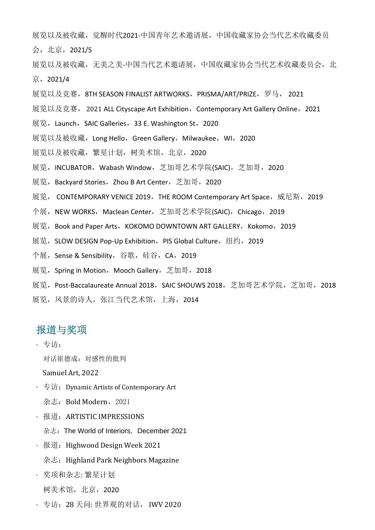展览以及被收藏,觉醒时代2021-中国青年艺术邀请展,中国收藏家协会当代艺术收藏委员 会,北京,2021/5

展览以及被收藏,无美之美-中国当代艺术邀请展,中国收藏家协会当代艺术收藏委员会,北 京,2021/4

- 展览以及竞赛,8TH SEASON FINALIST ARTWORKS,PRISMA/ART/PRIZE,罗马, 2021
- 展览以及竞赛,2021 ALL Cityscape Art Exhibition,Contemporary Art Gallery Online,2021
- 展览, Launch, SAIC Galleries, 33 E. Washington St, 2020
- 展览以及被收藏,Long Hello,Green Gallery,Milwaukee,WI,2020
- 展览以及被收藏, 繁星计划, 树美术馆, 北京, 2020
- 展览, INCUBATOR, Wabash Window, 芝加哥艺术学院(SAIC), 芝加哥, 2020
- 展览,Backyard Stories,Zhou B Art Center,芝加哥,2020
- 展览, CONTEMPORARY VENICE 2019,THE ROOM Contemporary Art Space,威尼斯,2019
- 个展, NEW WORKS, Maclean Center, 芝加哥艺术学院(SAIC), Chicago, 2019
- 展览, Book and Paper Arts, KOKOMO DOWNTOWN ART GALLERY, Kokomo, 2019
- 展览,SLOW DESIGN Pop-Up Exhibition,PIS Global Culture,纽约,2019
- 个展,Sense & Sensibility,谷歌,硅谷,CA,2019
- 展览, Spring in Motion, Mooch Gallery, 芝加哥, 2018
- 展览,Post-Baccalaureate Annual 2018,SAIC SHOUWS 2018,芝加哥艺术学院,芝加哥,2018
- 展览,风景的诗人,张江当代艺术馆,上海,2014

## 报道与奖项

· 专访:

对话崔德成:对感性的批判

Samuel Art, 2022

- $\cdot \pm \vec{v}$ : Dynamic Artists of Contemporary Art
	- 杂志: Bold Modern, 2021
- · 报道:ARTISTIC IMPRESSIONS
	- 杂志:The World of Interiors, December 2021
- 报道: Highwood Design Week 2021
	- 杂志: Highland Park Neighbors Magazine
- · 奖项和杂志: 繁星计划 树美术馆,北京,2020
- · 专访:28 天问: 世界观的对话, IWV 2020